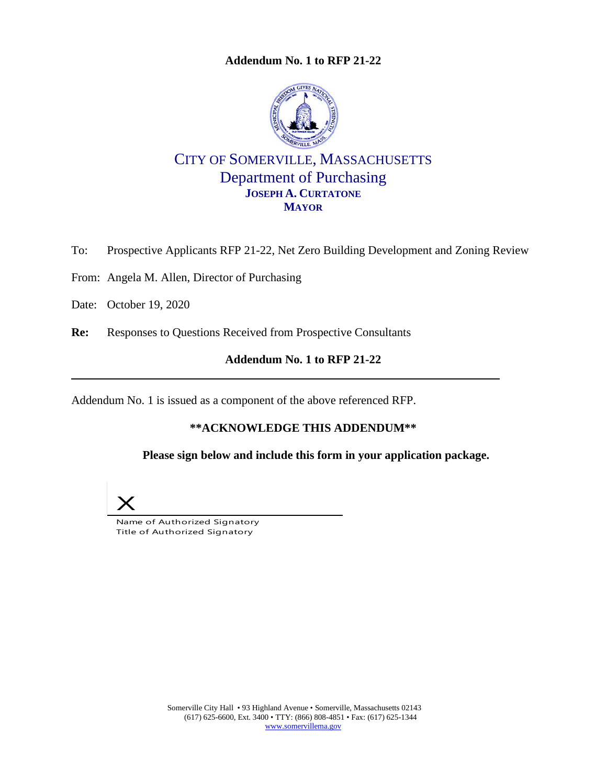**Addendum No. 1 to RFP 21-22**



CITY OF SOMERVILLE, MASSACHUSETTS Department of Purchasing **JOSEPH A. CURTATONE MAYOR** 

To: Prospective Applicants RFP 21-22, Net Zero Building Development and Zoning Review

From: Angela M. Allen, Director of Purchasing

Date: October 19, 2020

**Re:** Responses to Questions Received from Prospective Consultants

## **Addendum No. 1 to RFP 21-22**

Addendum No. 1 is issued as a component of the above referenced RFP.

## **\*\*ACKNOWLEDGE THIS ADDENDUM\*\***

**Please sign below and include this form in your application package.** 



Name of Authorized Signatory Title of Authorized Signatory